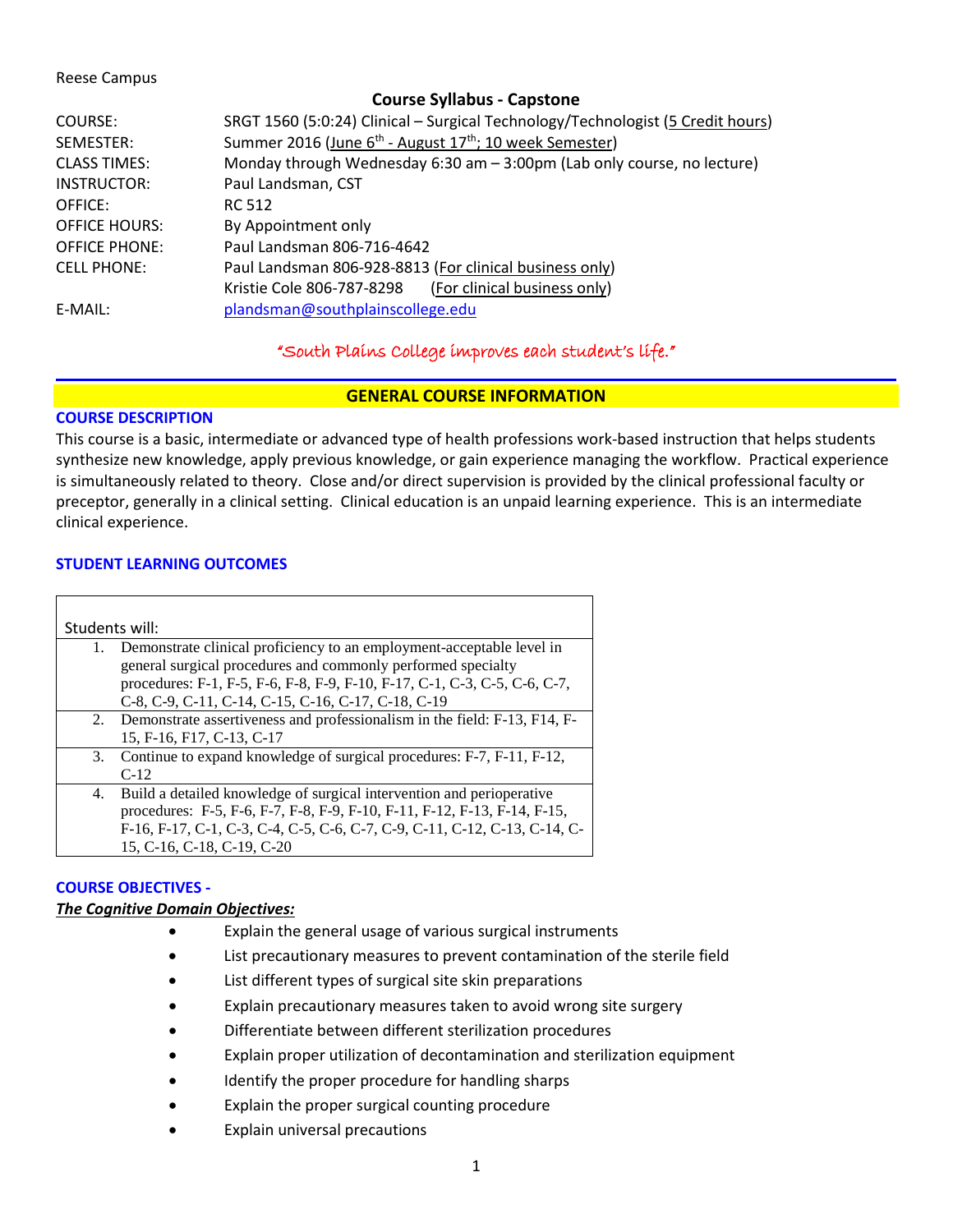#### Reese Campus

# **Course Syllabus - Capstone** COURSE: SRGT 1560 (5:0:24) Clinical – Surgical Technology/Technologist (5 Credit hours) SEMESTER: Summer 2016 (June 6<sup>th</sup> - August 17<sup>th</sup>; 10 week Semester) CLASS TIMES: Monday through Wednesday 6:30 am – 3:00pm (Lab only course, no lecture) INSTRUCTOR: Paul Landsman, CST OFFICE: RC 512 OFFICE HOURS: By Appointment only OFFICE PHONE: Paul Landsman 806-716-4642 CELL PHONE: Paul Landsman 806-928-8813 (For clinical business only) Kristie Cole 806-787-8298 (For clinical business only) E-MAIL: [plandsman@southplainscollege.edu](mailto:plandsman@southplainscollege.edu)

# "South Plains College improves each student's life."

## **GENERAL COURSE INFORMATION**

## **COURSE DESCRIPTION**

This course is a basic, intermediate or advanced type of health professions work-based instruction that helps students synthesize new knowledge, apply previous knowledge, or gain experience managing the workflow. Practical experience is simultaneously related to theory. Close and/or direct supervision is provided by the clinical professional faculty or preceptor, generally in a clinical setting. Clinical education is an unpaid learning experience. This is an intermediate clinical experience.

## **STUDENT LEARNING OUTCOMES**

| Students will: |                                                                                                                                                                                                                                                                          |  |  |  |
|----------------|--------------------------------------------------------------------------------------------------------------------------------------------------------------------------------------------------------------------------------------------------------------------------|--|--|--|
|                | Demonstrate clinical proficiency to an employment-acceptable level in<br>general surgical procedures and commonly performed specialty<br>procedures: F-1, F-5, F-6, F-8, F-9, F-10, F-17, C-1, C-3, C-5, C-6, C-7,<br>C-8, C-9, C-11, C-14, C-15, C-16, C-17, C-18, C-19 |  |  |  |
|                | 2. Demonstrate assertiveness and professionalism in the field: F-13, F14, F-<br>15, F-16, F17, C-13, C-17                                                                                                                                                                |  |  |  |
| 3.             | Continue to expand knowledge of surgical procedures: F-7, F-11, F-12,<br>$C-12$                                                                                                                                                                                          |  |  |  |
| 4.             | Build a detailed knowledge of surgical intervention and perioperative<br>procedures: F-5, F-6, F-7, F-8, F-9, F-10, F-11, F-12, F-13, F-14, F-15,<br>F-16, F-17, C-1, C-3, C-4, C-5, C-6, C-7, C-9, C-11, C-12, C-13, C-14, C-<br>15, C-16, C-18, C-19, C-20             |  |  |  |

## **COURSE OBJECTIVES -**

## *The Cognitive Domain Objectives:*

- Explain the general usage of various surgical instruments
- List precautionary measures to prevent contamination of the sterile field
- List different types of surgical site skin preparations
- Explain precautionary measures taken to avoid wrong site surgery
- Differentiate between different sterilization procedures
- Explain proper utilization of decontamination and sterilization equipment
- Identify the proper procedure for handling sharps
- Explain the proper surgical counting procedure
- Explain universal precautions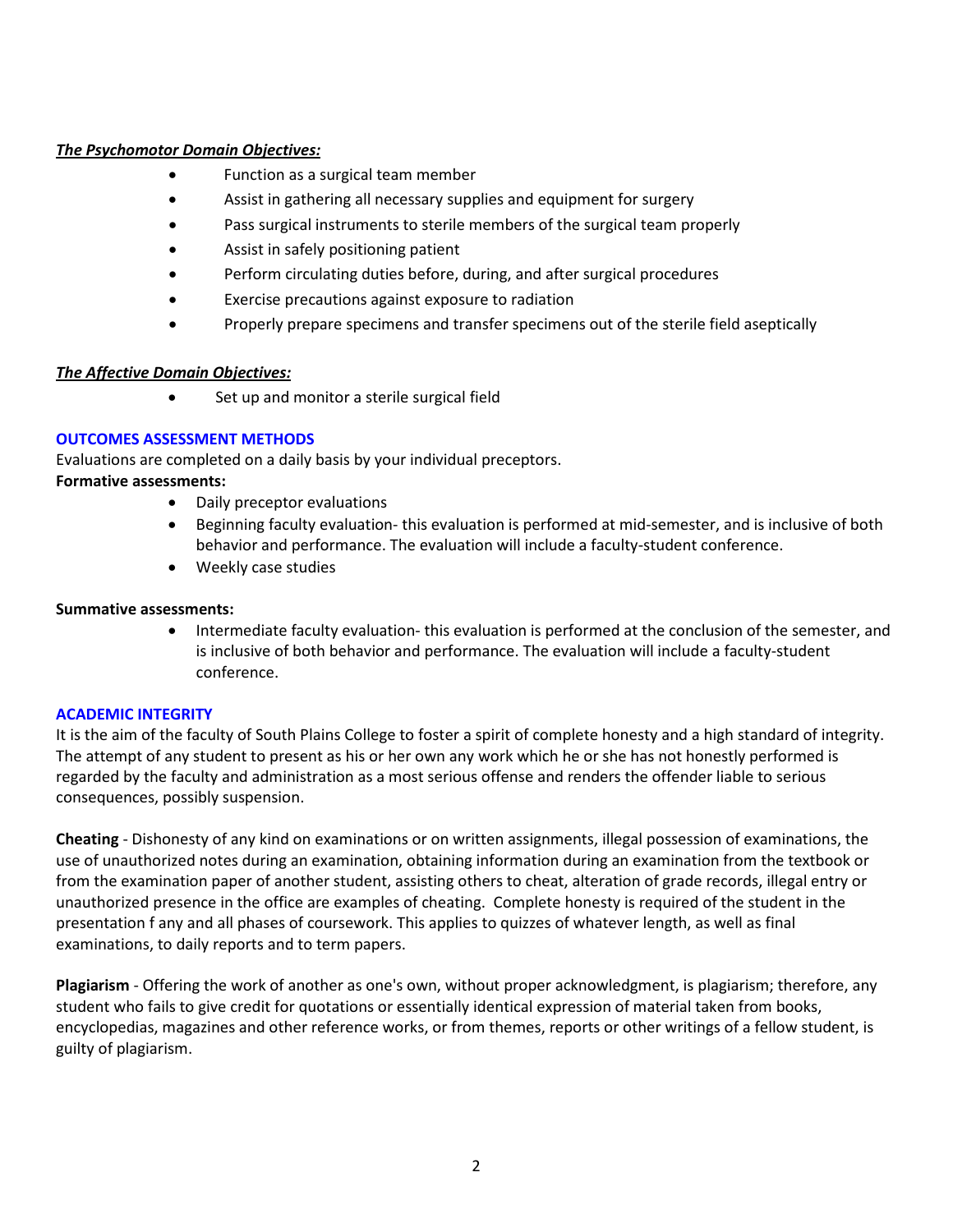## *The Psychomotor Domain Objectives:*

- Function as a surgical team member
- Assist in gathering all necessary supplies and equipment for surgery
- Pass surgical instruments to sterile members of the surgical team properly
- Assist in safely positioning patient
- Perform circulating duties before, during, and after surgical procedures
- Exercise precautions against exposure to radiation
- Properly prepare specimens and transfer specimens out of the sterile field aseptically

## *The Affective Domain Objectives:*

• Set up and monitor a sterile surgical field

## **OUTCOMES ASSESSMENT METHODS**

Evaluations are completed on a daily basis by your individual preceptors.

## **Formative assessments:**

- Daily preceptor evaluations
- Beginning faculty evaluation- this evaluation is performed at mid-semester, and is inclusive of both behavior and performance. The evaluation will include a faculty-student conference.
- Weekly case studies

## **Summative assessments:**

• Intermediate faculty evaluation- this evaluation is performed at the conclusion of the semester, and is inclusive of both behavior and performance. The evaluation will include a faculty-student conference.

# **ACADEMIC INTEGRITY**

It is the aim of the faculty of South Plains College to foster a spirit of complete honesty and a high standard of integrity. The attempt of any student to present as his or her own any work which he or she has not honestly performed is regarded by the faculty and administration as a most serious offense and renders the offender liable to serious consequences, possibly suspension.

**Cheating** - Dishonesty of any kind on examinations or on written assignments, illegal possession of examinations, the use of unauthorized notes during an examination, obtaining information during an examination from the textbook or from the examination paper of another student, assisting others to cheat, alteration of grade records, illegal entry or unauthorized presence in the office are examples of cheating. Complete honesty is required of the student in the presentation f any and all phases of coursework. This applies to quizzes of whatever length, as well as final examinations, to daily reports and to term papers.

**Plagiarism** - Offering the work of another as one's own, without proper acknowledgment, is plagiarism; therefore, any student who fails to give credit for quotations or essentially identical expression of material taken from books, encyclopedias, magazines and other reference works, or from themes, reports or other writings of a fellow student, is guilty of plagiarism.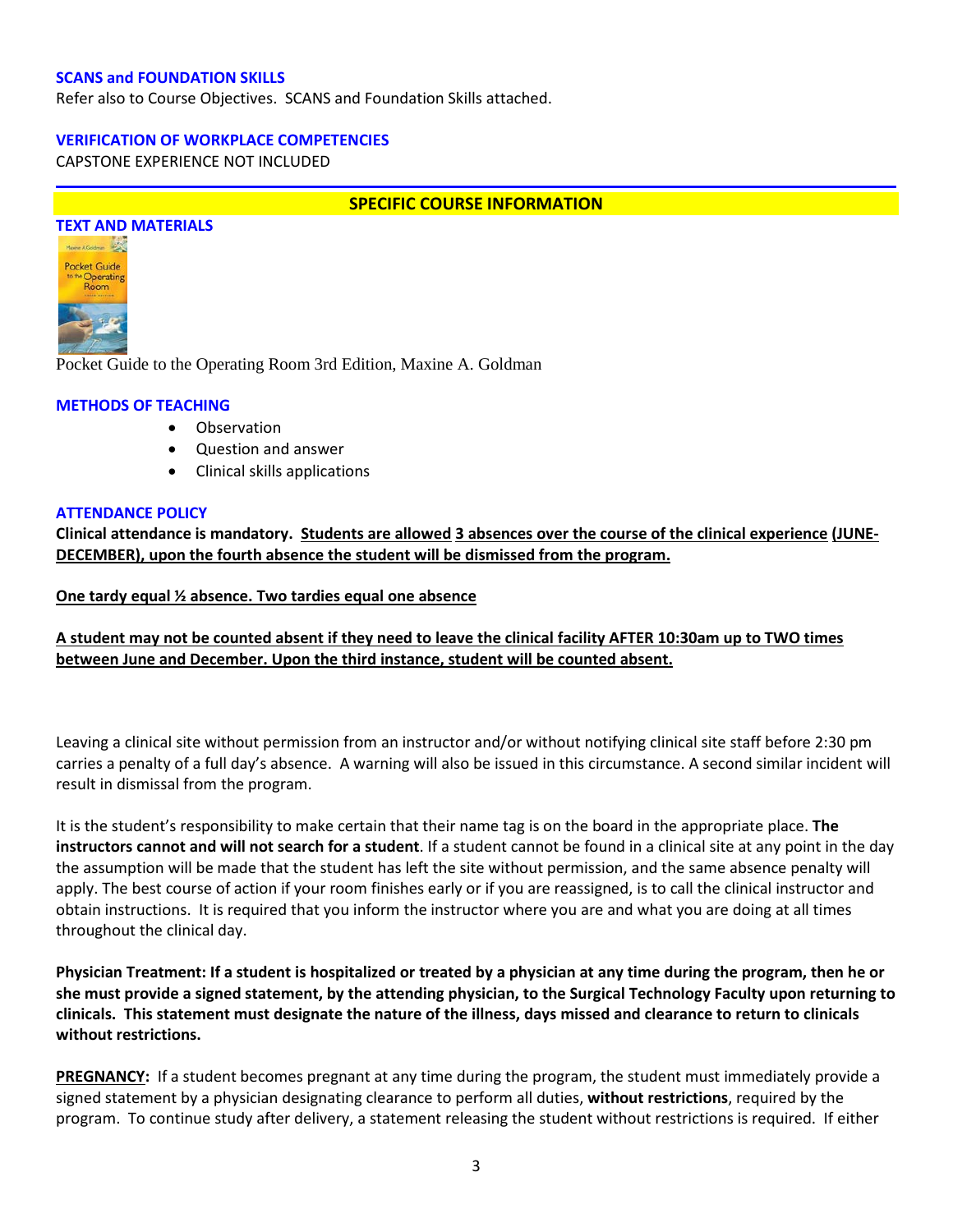#### **SCANS and FOUNDATION SKILLS**

Refer also to Course Objectives. SCANS and Foundation Skills attached.

#### **VERIFICATION OF WORKPLACE COMPETENCIES**

CAPSTONE EXPERIENCE NOT INCLUDED

#### **SPECIFIC COURSE INFORMATION**



Pocket Guide to the Operating Room 3rd Edition, Maxine A. Goldman

#### **METHODS OF TEACHING**

- Observation
- Question and answer
- Clinical skills applications

#### **ATTENDANCE POLICY**

**Clinical attendance is mandatory. Students are allowed 3 absences over the course of the clinical experience (JUNE-DECEMBER), upon the fourth absence the student will be dismissed from the program.** 

**One tardy equal ½ absence. Two tardies equal one absence**

**A student may not be counted absent if they need to leave the clinical facility AFTER 10:30am up to TWO times between June and December. Upon the third instance, student will be counted absent.** 

Leaving a clinical site without permission from an instructor and/or without notifying clinical site staff before 2:30 pm carries a penalty of a full day's absence. A warning will also be issued in this circumstance. A second similar incident will result in dismissal from the program.

It is the student's responsibility to make certain that their name tag is on the board in the appropriate place. **The instructors cannot and will not search for a student**. If a student cannot be found in a clinical site at any point in the day the assumption will be made that the student has left the site without permission, and the same absence penalty will apply. The best course of action if your room finishes early or if you are reassigned, is to call the clinical instructor and obtain instructions. It is required that you inform the instructor where you are and what you are doing at all times throughout the clinical day.

**Physician Treatment: If a student is hospitalized or treated by a physician at any time during the program, then he or she must provide a signed statement, by the attending physician, to the Surgical Technology Faculty upon returning to clinicals. This statement must designate the nature of the illness, days missed and clearance to return to clinicals without restrictions.** 

**PREGNANCY:** If a student becomes pregnant at any time during the program, the student must immediately provide a signed statement by a physician designating clearance to perform all duties, **without restrictions**, required by the program. To continue study after delivery, a statement releasing the student without restrictions is required. If either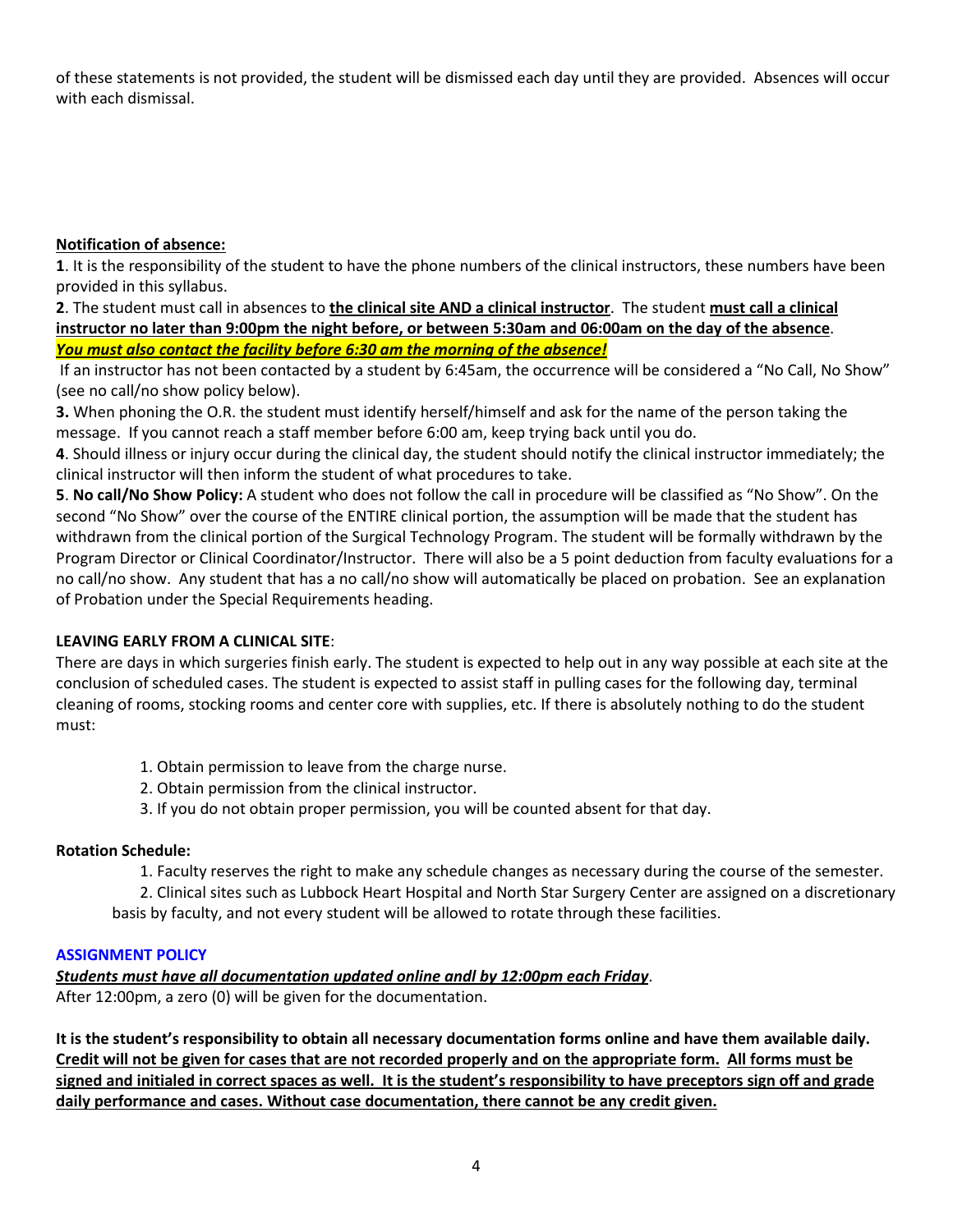of these statements is not provided, the student will be dismissed each day until they are provided. Absences will occur with each dismissal.

# **Notification of absence:**

**1**. It is the responsibility of the student to have the phone numbers of the clinical instructors, these numbers have been provided in this syllabus.

**2**. The student must call in absences to **the clinical site AND a clinical instructor**. The student **must call a clinical instructor no later than 9:00pm the night before, or between 5:30am and 06:00am on the day of the absence**. *You must also contact the facility before 6:30 am the morning of the absence!*

If an instructor has not been contacted by a student by 6:45am, the occurrence will be considered a "No Call, No Show" (see no call/no show policy below).

**3.** When phoning the O.R. the student must identify herself/himself and ask for the name of the person taking the message. If you cannot reach a staff member before 6:00 am, keep trying back until you do.

**4**. Should illness or injury occur during the clinical day, the student should notify the clinical instructor immediately; the clinical instructor will then inform the student of what procedures to take.

**5**. **No call/No Show Policy:** A student who does not follow the call in procedure will be classified as "No Show". On the second "No Show" over the course of the ENTIRE clinical portion, the assumption will be made that the student has withdrawn from the clinical portion of the Surgical Technology Program. The student will be formally withdrawn by the Program Director or Clinical Coordinator/Instructor. There will also be a 5 point deduction from faculty evaluations for a no call/no show. Any student that has a no call/no show will automatically be placed on probation. See an explanation of Probation under the Special Requirements heading.

# **LEAVING EARLY FROM A CLINICAL SITE**:

There are days in which surgeries finish early. The student is expected to help out in any way possible at each site at the conclusion of scheduled cases. The student is expected to assist staff in pulling cases for the following day, terminal cleaning of rooms, stocking rooms and center core with supplies, etc. If there is absolutely nothing to do the student must:

- 1. Obtain permission to leave from the charge nurse.
- 2. Obtain permission from the clinical instructor.
- 3. If you do not obtain proper permission, you will be counted absent for that day.

## **Rotation Schedule:**

1. Faculty reserves the right to make any schedule changes as necessary during the course of the semester.

2. Clinical sites such as Lubbock Heart Hospital and North Star Surgery Center are assigned on a discretionary basis by faculty, and not every student will be allowed to rotate through these facilities.

## **ASSIGNMENT POLICY**

*Students must have all documentation updated online andl by 12:00pm each Friday*.

After 12:00pm, a zero (0) will be given for the documentation.

**It is the student's responsibility to obtain all necessary documentation forms online and have them available daily. Credit will not be given for cases that are not recorded properly and on the appropriate form. All forms must be signed and initialed in correct spaces as well. It is the student's responsibility to have preceptors sign off and grade daily performance and cases. Without case documentation, there cannot be any credit given.**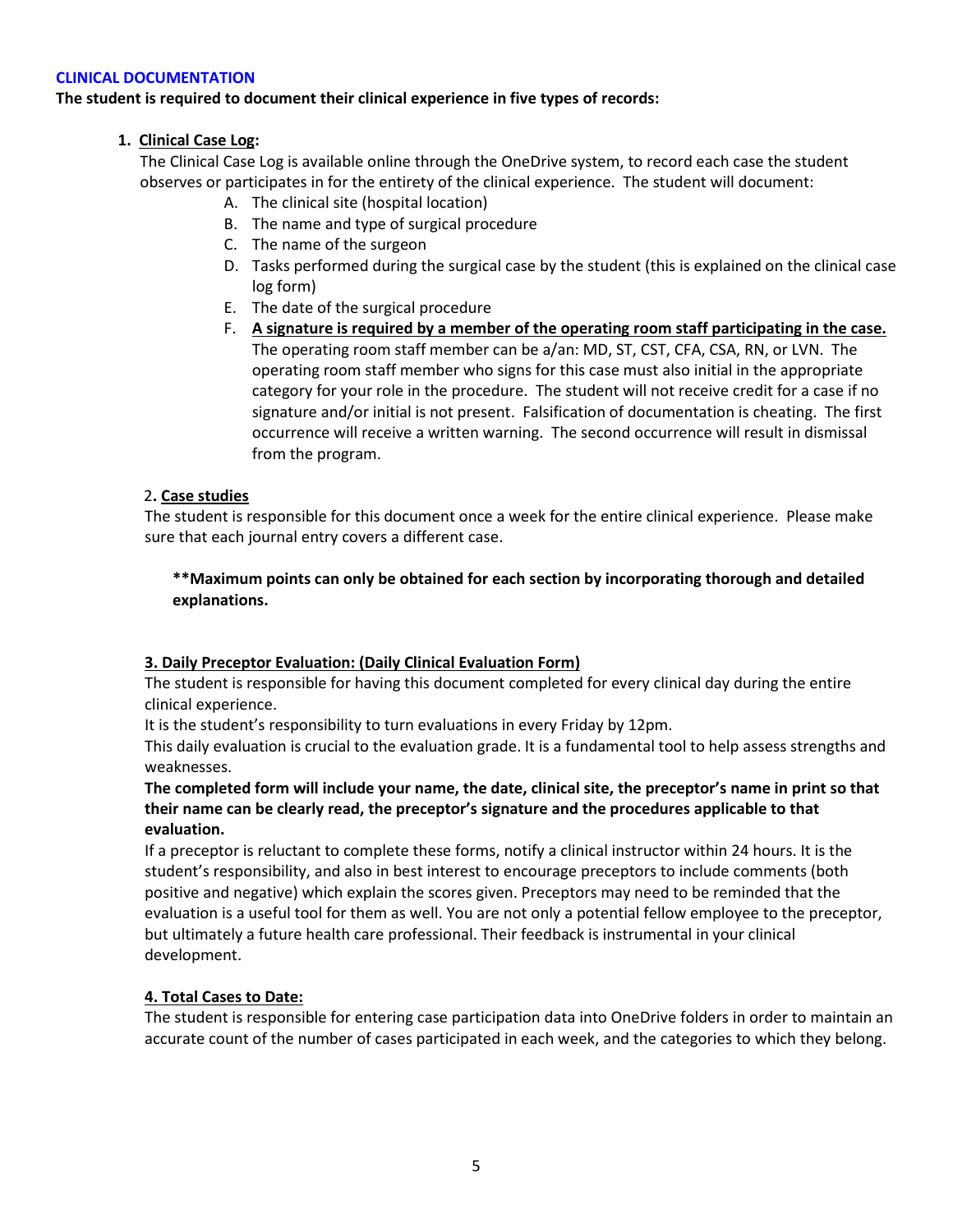#### **CLINICAL DOCUMENTATION**

## **The student is required to document their clinical experience in five types of records:**

## **1. Clinical Case Log:**

The Clinical Case Log is available online through the OneDrive system, to record each case the student observes or participates in for the entirety of the clinical experience. The student will document:

- A. The clinical site (hospital location)
- B. The name and type of surgical procedure
- C. The name of the surgeon
- D. Tasks performed during the surgical case by the student (this is explained on the clinical case log form)
- E. The date of the surgical procedure
- F. **A signature is required by a member of the operating room staff participating in the case.** The operating room staff member can be a/an: MD, ST, CST, CFA, CSA, RN, or LVN. The operating room staff member who signs for this case must also initial in the appropriate category for your role in the procedure. The student will not receive credit for a case if no signature and/or initial is not present. Falsification of documentation is cheating. The first occurrence will receive a written warning. The second occurrence will result in dismissal from the program.

#### 2**. Case studies**

The student is responsible for this document once a week for the entire clinical experience. Please make sure that each journal entry covers a different case.

# **\*\*Maximum points can only be obtained for each section by incorporating thorough and detailed explanations.**

## **3. Daily Preceptor Evaluation: (Daily Clinical Evaluation Form)**

The student is responsible for having this document completed for every clinical day during the entire clinical experience.

It is the student's responsibility to turn evaluations in every Friday by 12pm.

This daily evaluation is crucial to the evaluation grade. It is a fundamental tool to help assess strengths and weaknesses.

## **The completed form will include your name, the date, clinical site, the preceptor's name in print so that their name can be clearly read, the preceptor's signature and the procedures applicable to that evaluation.**

If a preceptor is reluctant to complete these forms, notify a clinical instructor within 24 hours. It is the student's responsibility, and also in best interest to encourage preceptors to include comments (both positive and negative) which explain the scores given. Preceptors may need to be reminded that the evaluation is a useful tool for them as well. You are not only a potential fellow employee to the preceptor, but ultimately a future health care professional. Their feedback is instrumental in your clinical development.

## **4. Total Cases to Date:**

The student is responsible for entering case participation data into OneDrive folders in order to maintain an accurate count of the number of cases participated in each week, and the categories to which they belong.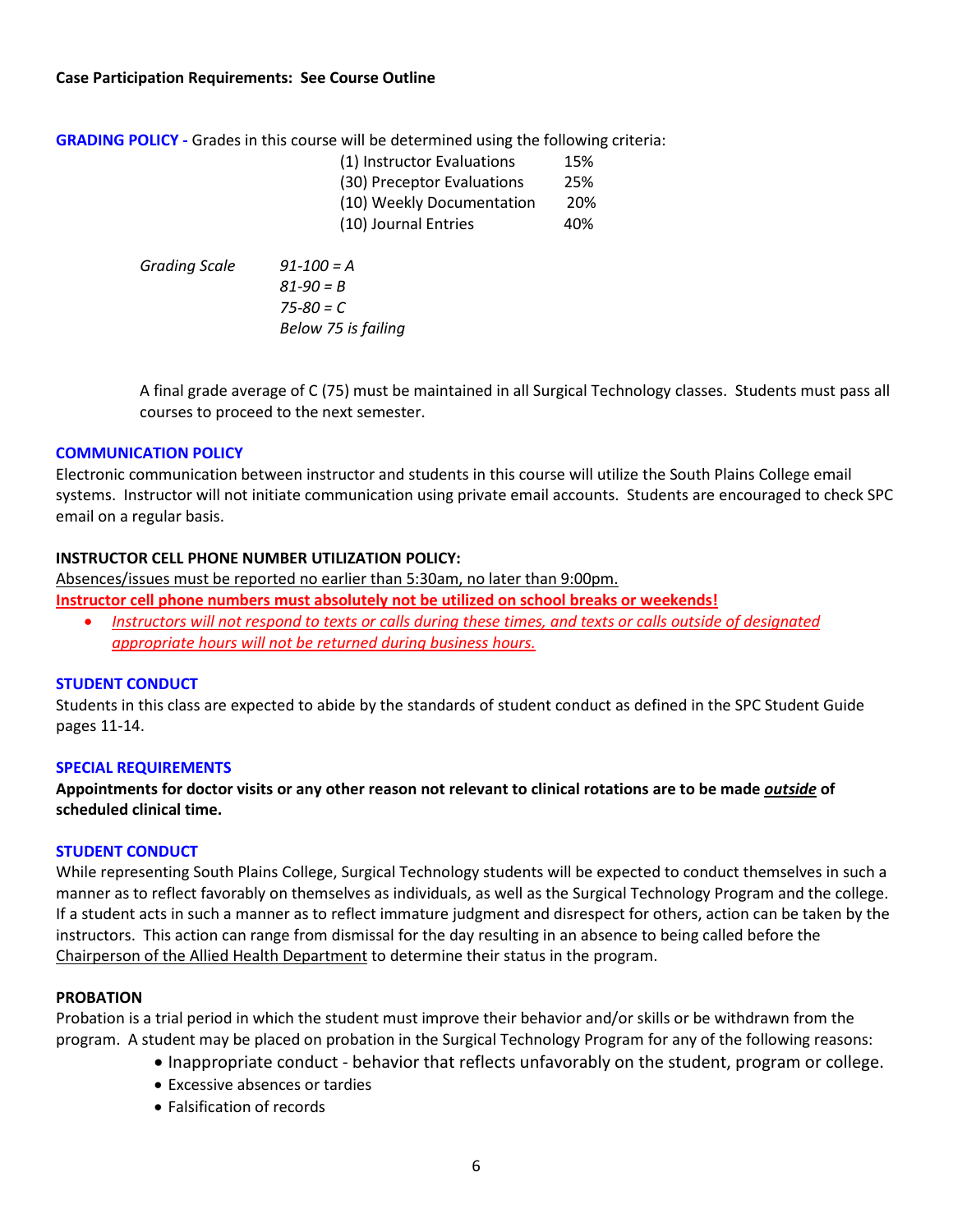#### **Case Participation Requirements: See Course Outline**

**GRADING POLICY -** Grades in this course will be determined using the following criteria:

| (1) Instructor Evaluations | 15% |
|----------------------------|-----|
| (30) Preceptor Evaluations | 25% |
| (10) Weekly Documentation  | 20% |
| (10) Journal Entries       | 40% |

*Grading Scale 91-100 = A 81-90 = B 75-80 = C Below 75 is failing*

A final grade average of C (75) must be maintained in all Surgical Technology classes. Students must pass all courses to proceed to the next semester.

## **COMMUNICATION POLICY**

Electronic communication between instructor and students in this course will utilize the South Plains College email systems. Instructor will not initiate communication using private email accounts. Students are encouraged to check SPC email on a regular basis.

## **INSTRUCTOR CELL PHONE NUMBER UTILIZATION POLICY:**

Absences/issues must be reported no earlier than 5:30am, no later than 9:00pm. **Instructor cell phone numbers must absolutely not be utilized on school breaks or weekends!**

• *Instructors will not respond to texts or calls during these times, and texts or calls outside of designated appropriate hours will not be returned during business hours.*

## **STUDENT CONDUCT**

Students in this class are expected to abide by the standards of student conduct as defined in the SPC Student Guide pages 11-14.

## **SPECIAL REQUIREMENTS**

**Appointments for doctor visits or any other reason not relevant to clinical rotations are to be made** *outside* **of scheduled clinical time.** 

## **STUDENT CONDUCT**

While representing South Plains College, Surgical Technology students will be expected to conduct themselves in such a manner as to reflect favorably on themselves as individuals, as well as the Surgical Technology Program and the college. If a student acts in such a manner as to reflect immature judgment and disrespect for others, action can be taken by the instructors. This action can range from dismissal for the day resulting in an absence to being called before the Chairperson of the Allied Health Department to determine their status in the program.

#### **PROBATION**

Probation is a trial period in which the student must improve their behavior and/or skills or be withdrawn from the program. A student may be placed on probation in the Surgical Technology Program for any of the following reasons:

- Inappropriate conduct behavior that reflects unfavorably on the student, program or college.
- Excessive absences or tardies
- Falsification of records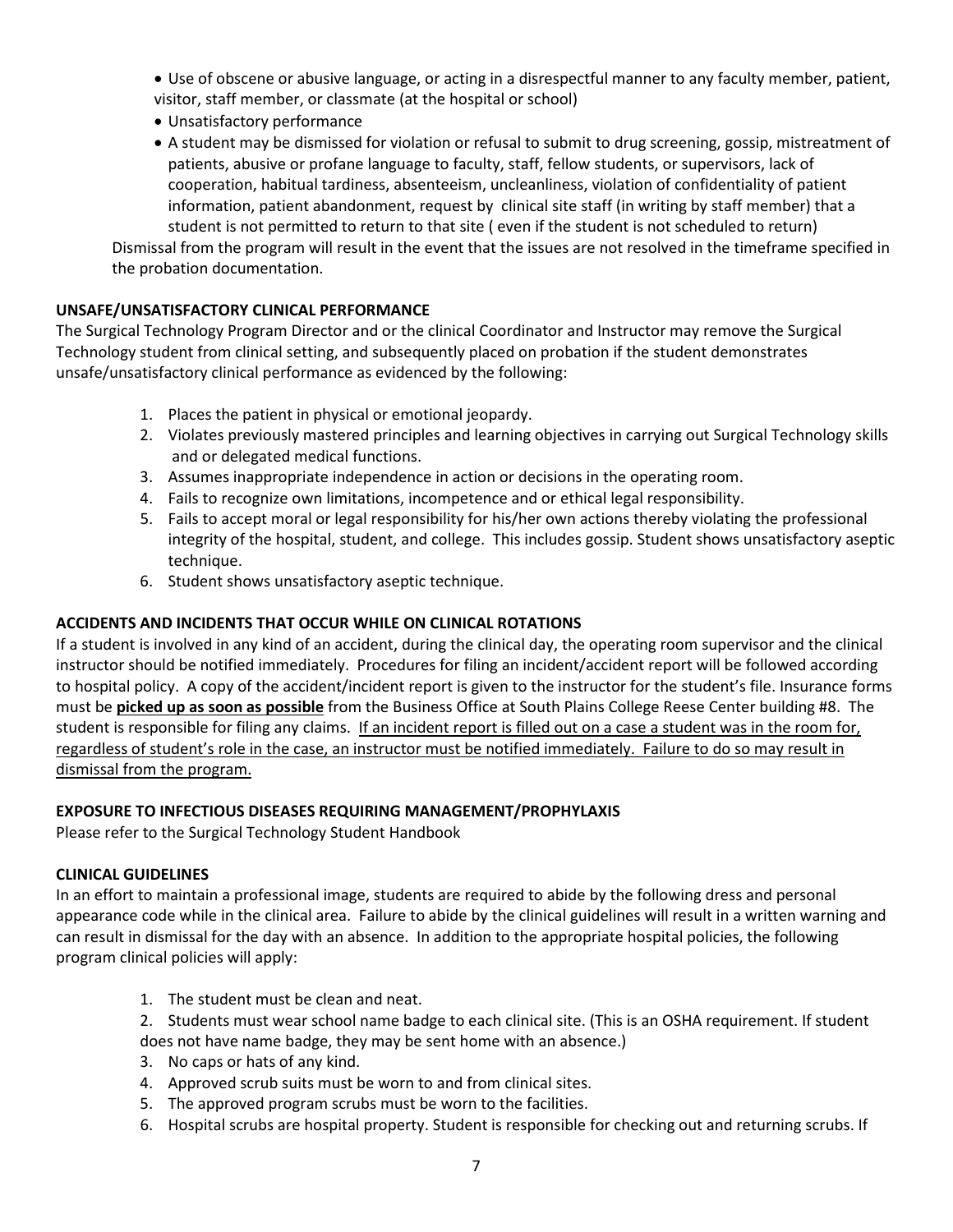- Use of obscene or abusive language, or acting in a disrespectful manner to any faculty member, patient, visitor, staff member, or classmate (at the hospital or school)
- Unsatisfactory performance
- A student may be dismissed for violation or refusal to submit to drug screening, gossip, mistreatment of patients, abusive or profane language to faculty, staff, fellow students, or supervisors, lack of cooperation, habitual tardiness, absenteeism, uncleanliness, violation of confidentiality of patient information, patient abandonment, request by clinical site staff (in writing by staff member) that a student is not permitted to return to that site ( even if the student is not scheduled to return)

Dismissal from the program will result in the event that the issues are not resolved in the timeframe specified in the probation documentation.

# **UNSAFE/UNSATISFACTORY CLINICAL PERFORMANCE**

The Surgical Technology Program Director and or the clinical Coordinator and Instructor may remove the Surgical Technology student from clinical setting, and subsequently placed on probation if the student demonstrates unsafe/unsatisfactory clinical performance as evidenced by the following:

- 1. Places the patient in physical or emotional jeopardy.
- 2. Violates previously mastered principles and learning objectives in carrying out Surgical Technology skills and or delegated medical functions.
- 3. Assumes inappropriate independence in action or decisions in the operating room.
- 4. Fails to recognize own limitations, incompetence and or ethical legal responsibility.
- 5. Fails to accept moral or legal responsibility for his/her own actions thereby violating the professional integrity of the hospital, student, and college. This includes gossip. Student shows unsatisfactory aseptic technique.
- 6. Student shows unsatisfactory aseptic technique.

# **ACCIDENTS AND INCIDENTS THAT OCCUR WHILE ON CLINICAL ROTATIONS**

If a student is involved in any kind of an accident, during the clinical day, the operating room supervisor and the clinical instructor should be notified immediately. Procedures for filing an incident/accident report will be followed according to hospital policy. A copy of the accident/incident report is given to the instructor for the student's file. Insurance forms must be **picked up as soon as possible** from the Business Office at South Plains College Reese Center building #8. The student is responsible for filing any claims. If an incident report is filled out on a case a student was in the room for, regardless of student's role in the case, an instructor must be notified immediately. Failure to do so may result in dismissal from the program.

## **EXPOSURE TO INFECTIOUS DISEASES REQUIRING MANAGEMENT/PROPHYLAXIS**

Please refer to the Surgical Technology Student Handbook

## **CLINICAL GUIDELINES**

In an effort to maintain a professional image, students are required to abide by the following dress and personal appearance code while in the clinical area. Failure to abide by the clinical guidelines will result in a written warning and can result in dismissal for the day with an absence. In addition to the appropriate hospital policies, the following program clinical policies will apply:

- 1. The student must be clean and neat.
- 2. Students must wear school name badge to each clinical site. (This is an OSHA requirement. If student does not have name badge, they may be sent home with an absence.)
- 3. No caps or hats of any kind.
- 4. Approved scrub suits must be worn to and from clinical sites.
- 5. The approved program scrubs must be worn to the facilities.
- 6. Hospital scrubs are hospital property. Student is responsible for checking out and returning scrubs. If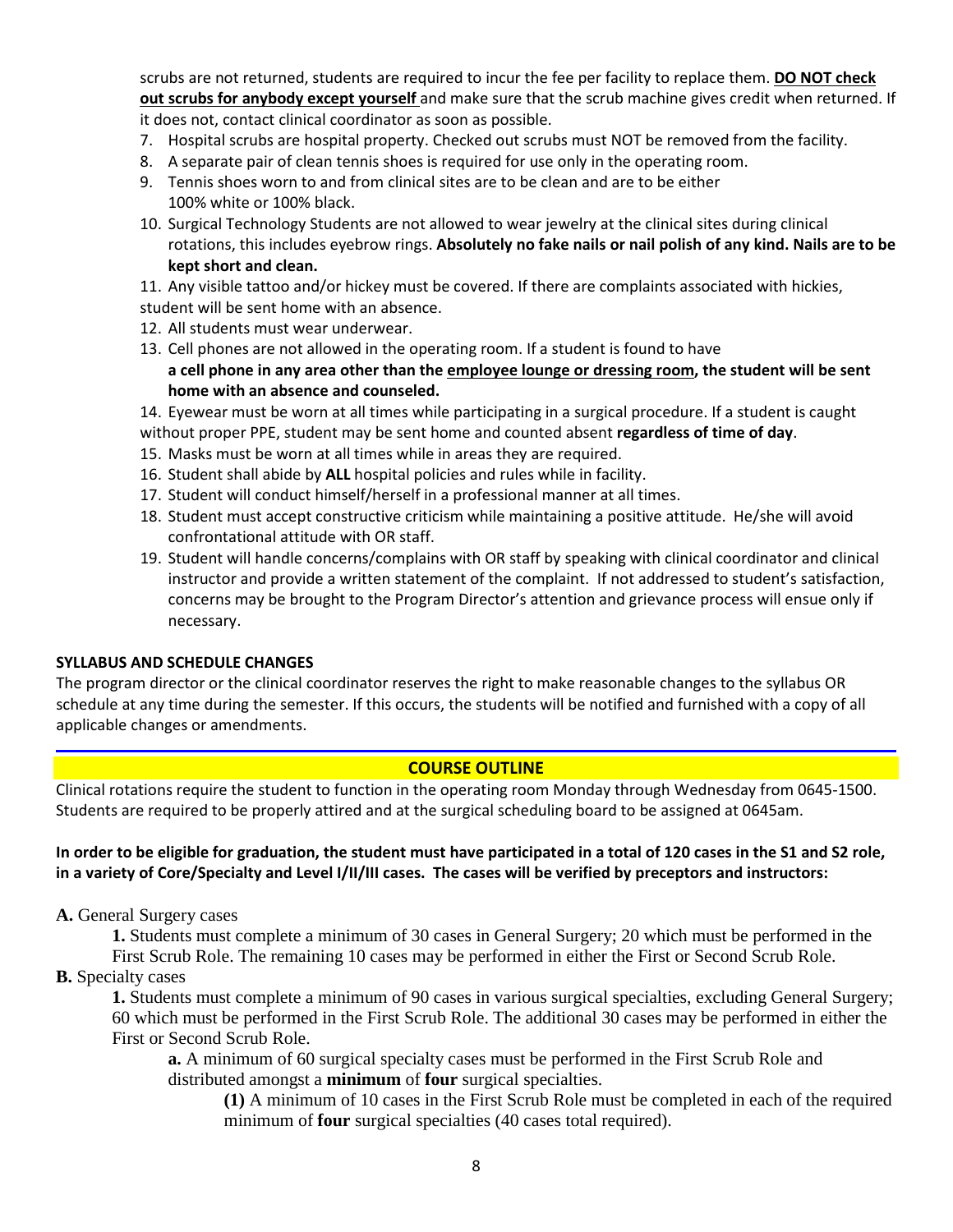scrubs are not returned, students are required to incur the fee per facility to replace them. **DO NOT check out scrubs for anybody except yourself** and make sure that the scrub machine gives credit when returned. If it does not, contact clinical coordinator as soon as possible.

- 7. Hospital scrubs are hospital property. Checked out scrubs must NOT be removed from the facility.
- 8. A separate pair of clean tennis shoes is required for use only in the operating room.
- 9. Tennis shoes worn to and from clinical sites are to be clean and are to be either 100% white or 100% black.
- 10. Surgical Technology Students are not allowed to wear jewelry at the clinical sites during clinical rotations, this includes eyebrow rings. **Absolutely no fake nails or nail polish of any kind. Nails are to be kept short and clean.**
- 11. Any visible tattoo and/or hickey must be covered. If there are complaints associated with hickies,
- student will be sent home with an absence.
- 12. All students must wear underwear.
- 13. Cell phones are not allowed in the operating room. If a student is found to have **a cell phone in any area other than the employee lounge or dressing room, the student will be sent home with an absence and counseled.**
- 14. Eyewear must be worn at all times while participating in a surgical procedure. If a student is caught without proper PPE, student may be sent home and counted absent **regardless of time of day**.
- 15. Masks must be worn at all times while in areas they are required.
- 16. Student shall abide by **ALL** hospital policies and rules while in facility.
- 17. Student will conduct himself/herself in a professional manner at all times.
- 18. Student must accept constructive criticism while maintaining a positive attitude. He/she will avoid confrontational attitude with OR staff.
- 19. Student will handle concerns/complains with OR staff by speaking with clinical coordinator and clinical instructor and provide a written statement of the complaint. If not addressed to student's satisfaction, concerns may be brought to the Program Director's attention and grievance process will ensue only if necessary.

## **SYLLABUS AND SCHEDULE CHANGES**

The program director or the clinical coordinator reserves the right to make reasonable changes to the syllabus OR schedule at any time during the semester. If this occurs, the students will be notified and furnished with a copy of all applicable changes or amendments.

## **COURSE OUTLINE**

Clinical rotations require the student to function in the operating room Monday through Wednesday from 0645-1500. Students are required to be properly attired and at the surgical scheduling board to be assigned at 0645am.

## **In order to be eligible for graduation, the student must have participated in a total of 120 cases in the S1 and S2 role, in a variety of Core/Specialty and Level I/II/III cases. The cases will be verified by preceptors and instructors:**

**A.** General Surgery cases

**1.** Students must complete a minimum of 30 cases in General Surgery; 20 which must be performed in the First Scrub Role. The remaining 10 cases may be performed in either the First or Second Scrub Role.

## **B.** Specialty cases

**1.** Students must complete a minimum of 90 cases in various surgical specialties, excluding General Surgery; 60 which must be performed in the First Scrub Role. The additional 30 cases may be performed in either the First or Second Scrub Role.

**a.** A minimum of 60 surgical specialty cases must be performed in the First Scrub Role and distributed amongst a **minimum** of **four** surgical specialties.

**(1)** A minimum of 10 cases in the First Scrub Role must be completed in each of the required minimum of **four** surgical specialties (40 cases total required).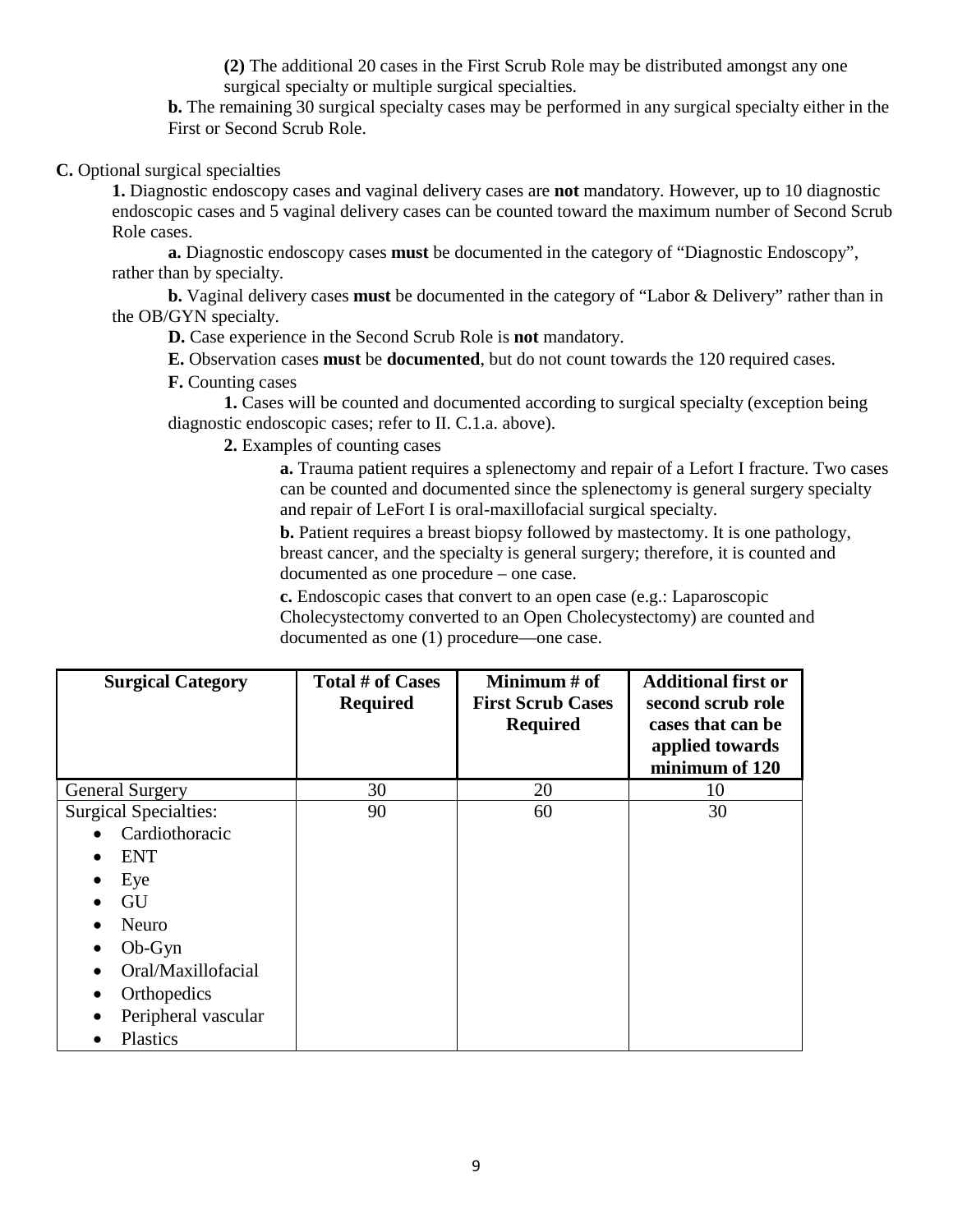**(2)** The additional 20 cases in the First Scrub Role may be distributed amongst any one surgical specialty or multiple surgical specialties.

**b.** The remaining 30 surgical specialty cases may be performed in any surgical specialty either in the First or Second Scrub Role.

**C.** Optional surgical specialties

**1.** Diagnostic endoscopy cases and vaginal delivery cases are **not** mandatory. However, up to 10 diagnostic endoscopic cases and 5 vaginal delivery cases can be counted toward the maximum number of Second Scrub Role cases.

**a.** Diagnostic endoscopy cases **must** be documented in the category of "Diagnostic Endoscopy", rather than by specialty.

**b.** Vaginal delivery cases **must** be documented in the category of "Labor & Delivery" rather than in the OB/GYN specialty.

**D.** Case experience in the Second Scrub Role is **not** mandatory.

**E.** Observation cases **must** be **documented**, but do not count towards the 120 required cases.

**F.** Counting cases

**1.** Cases will be counted and documented according to surgical specialty (exception being diagnostic endoscopic cases; refer to II. C.1.a. above).

**2.** Examples of counting cases

**a.** Trauma patient requires a splenectomy and repair of a Lefort I fracture. Two cases can be counted and documented since the splenectomy is general surgery specialty and repair of LeFort I is oral-maxillofacial surgical specialty.

**b.** Patient requires a breast biopsy followed by mastectomy. It is one pathology, breast cancer, and the specialty is general surgery; therefore, it is counted and documented as one procedure – one case.

**c.** Endoscopic cases that convert to an open case (e.g.: Laparoscopic Cholecystectomy converted to an Open Cholecystectomy) are counted and documented as one (1) procedure—one case.

| <b>Surgical Category</b>     | <b>Total # of Cases</b><br><b>Required</b> | Minimum $#$ of<br><b>First Scrub Cases</b><br><b>Required</b> | <b>Additional first or</b><br>second scrub role<br>cases that can be<br>applied towards<br>minimum of 120 |
|------------------------------|--------------------------------------------|---------------------------------------------------------------|-----------------------------------------------------------------------------------------------------------|
| <b>General Surgery</b>       | 30                                         | 20                                                            | 10                                                                                                        |
| <b>Surgical Specialties:</b> | 90                                         | 60                                                            | 30                                                                                                        |
| Cardiothoracic               |                                            |                                                               |                                                                                                           |
| <b>ENT</b>                   |                                            |                                                               |                                                                                                           |
| Eye<br>٠                     |                                            |                                                               |                                                                                                           |
| GU                           |                                            |                                                               |                                                                                                           |
| Neuro                        |                                            |                                                               |                                                                                                           |
| $Ob-Gyn$<br>٠                |                                            |                                                               |                                                                                                           |
| Oral/Maxillofacial           |                                            |                                                               |                                                                                                           |
| Orthopedics                  |                                            |                                                               |                                                                                                           |
| Peripheral vascular          |                                            |                                                               |                                                                                                           |
| Plastics                     |                                            |                                                               |                                                                                                           |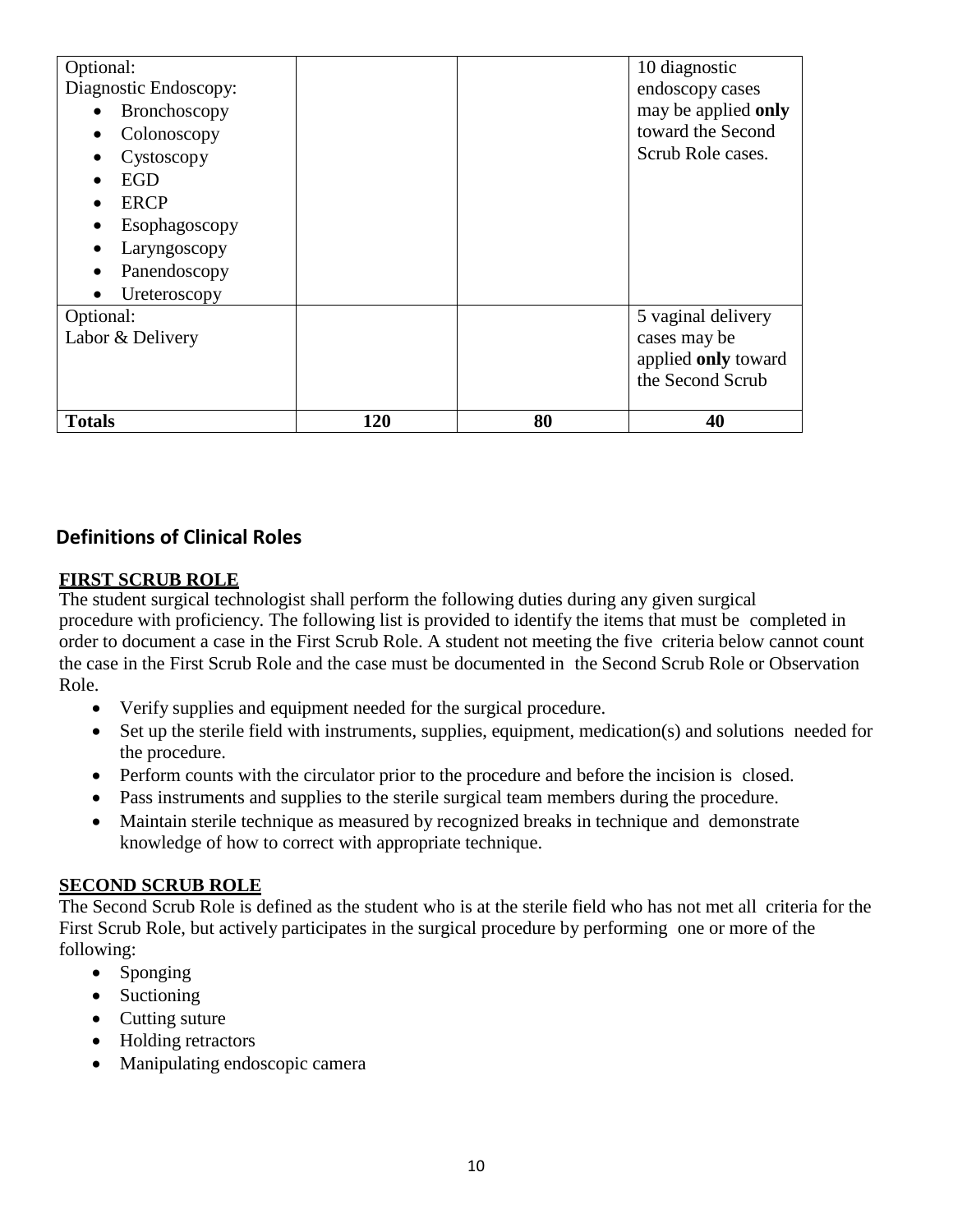| Optional:             |     |    | 10 diagnostic       |
|-----------------------|-----|----|---------------------|
| Diagnostic Endoscopy: |     |    | endoscopy cases     |
| Bronchoscopy          |     |    | may be applied only |
| Colonoscopy           |     |    | toward the Second   |
| Cystoscopy            |     |    | Scrub Role cases.   |
| EGD                   |     |    |                     |
| <b>ERCP</b>           |     |    |                     |
| Esophagoscopy         |     |    |                     |
| Laryngoscopy          |     |    |                     |
| Panendoscopy          |     |    |                     |
| Ureteroscopy          |     |    |                     |
| Optional:             |     |    | 5 vaginal delivery  |
| Labor & Delivery      |     |    | cases may be        |
|                       |     |    | applied only toward |
|                       |     |    | the Second Scrub    |
|                       |     |    |                     |
| <b>Totals</b>         | 120 | 80 | 40                  |

# **Definitions of Clinical Roles**

# **FIRST SCRUB ROLE**

The student surgical technologist shall perform the following duties during any given surgical procedure with proficiency. The following list is provided to identify the items that must be completed in order to document a case in the First Scrub Role. A student not meeting the five criteria below cannot count the case in the First Scrub Role and the case must be documented in the Second Scrub Role or Observation Role.

- Verify supplies and equipment needed for the surgical procedure.
- Set up the sterile field with instruments, supplies, equipment, medication(s) and solutions needed for the procedure.
- Perform counts with the circulator prior to the procedure and before the incision is closed.
- Pass instruments and supplies to the sterile surgical team members during the procedure.
- Maintain sterile technique as measured by recognized breaks in technique and demonstrate knowledge of how to correct with appropriate technique.

# **SECOND SCRUB ROLE**

The Second Scrub Role is defined as the student who is at the sterile field who has not met all criteria for the First Scrub Role, but actively participates in the surgical procedure by performing one or more of the following:

- Sponging
- Suctioning
- Cutting suture
- Holding retractors
- Manipulating endoscopic camera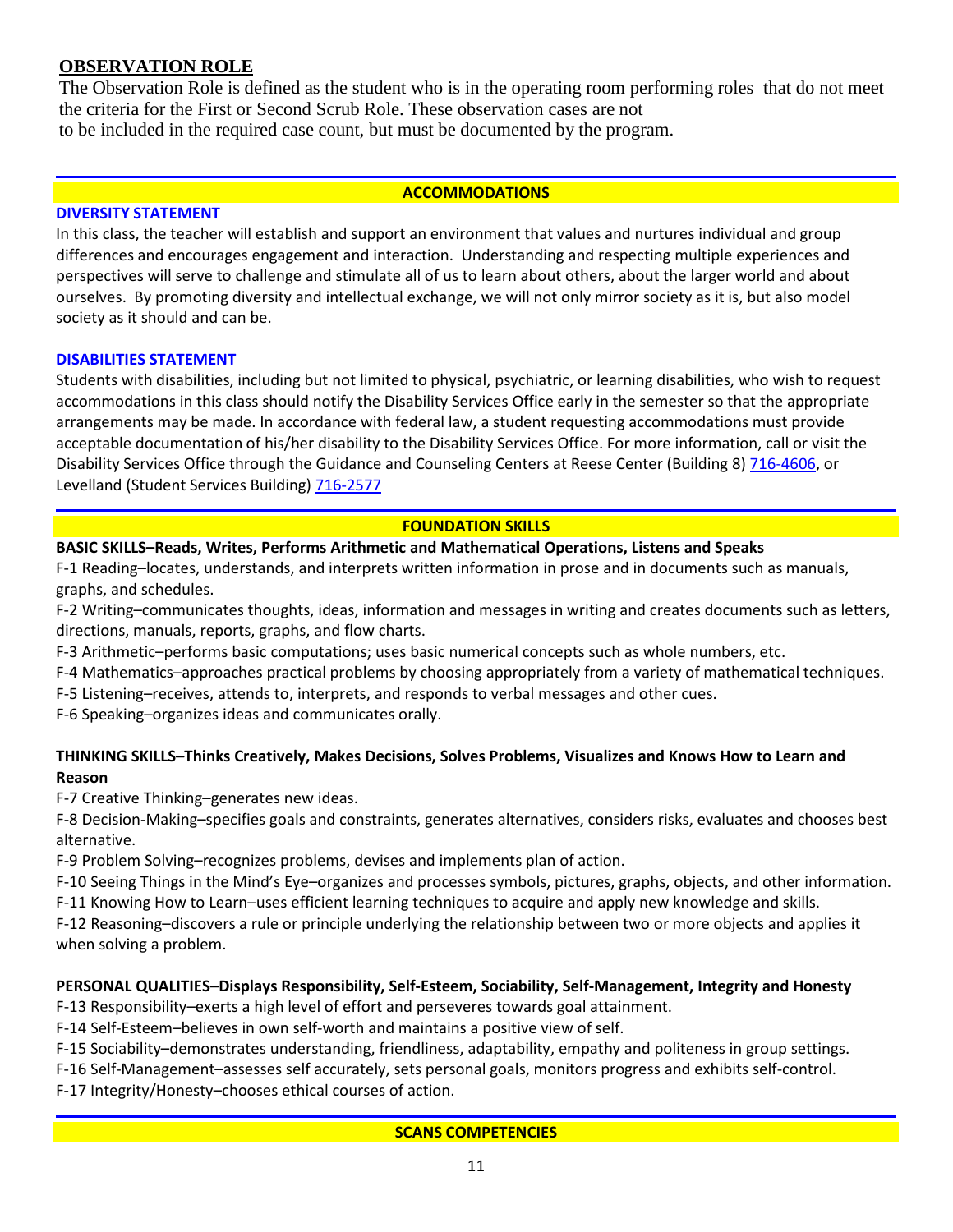# **OBSERVATION ROLE**

The Observation Role is defined as the student who is in the operating room performing roles that do not meet the criteria for the First or Second Scrub Role. These observation cases are not to be included in the required case count, but must be documented by the program.

#### **ACCOMMODATIONS**

#### **DIVERSITY STATEMENT**

In this class, the teacher will establish and support an environment that values and nurtures individual and group differences and encourages engagement and interaction. Understanding and respecting multiple experiences and perspectives will serve to challenge and stimulate all of us to learn about others, about the larger world and about ourselves. By promoting diversity and intellectual exchange, we will not only mirror society as it is, but also model society as it should and can be.

#### **DISABILITIES STATEMENT**

Students with disabilities, including but not limited to physical, psychiatric, or learning disabilities, who wish to request accommodations in this class should notify the Disability Services Office early in the semester so that the appropriate arrangements may be made. In accordance with federal law, a student requesting accommodations must provide acceptable documentation of his/her disability to the Disability Services Office. For more information, call or visit the Disability Services Office through the Guidance and Counseling Centers at Reese Center (Building 8) [716-4606,](tel:716-4606) or Levelland (Student Services Building) [716-2577](tel:716-2577)

#### **FOUNDATION SKILLS**

## **BASIC SKILLS–Reads, Writes, Performs Arithmetic and Mathematical Operations, Listens and Speaks**

F-1 Reading–locates, understands, and interprets written information in prose and in documents such as manuals, graphs, and schedules.

F-2 Writing–communicates thoughts, ideas, information and messages in writing and creates documents such as letters, directions, manuals, reports, graphs, and flow charts.

- F-3 Arithmetic–performs basic computations; uses basic numerical concepts such as whole numbers, etc.
- F-4 Mathematics–approaches practical problems by choosing appropriately from a variety of mathematical techniques.
- F-5 Listening–receives, attends to, interprets, and responds to verbal messages and other cues.

F-6 Speaking–organizes ideas and communicates orally.

## **THINKING SKILLS–Thinks Creatively, Makes Decisions, Solves Problems, Visualizes and Knows How to Learn and Reason**

F-7 Creative Thinking–generates new ideas.

F-8 Decision-Making–specifies goals and constraints, generates alternatives, considers risks, evaluates and chooses best alternative.

F-9 Problem Solving–recognizes problems, devises and implements plan of action.

F-10 Seeing Things in the Mind's Eye–organizes and processes symbols, pictures, graphs, objects, and other information.

F-11 Knowing How to Learn–uses efficient learning techniques to acquire and apply new knowledge and skills.

F-12 Reasoning–discovers a rule or principle underlying the relationship between two or more objects and applies it when solving a problem.

## **PERSONAL QUALITIES–Displays Responsibility, Self-Esteem, Sociability, Self-Management, Integrity and Honesty**

F-13 Responsibility–exerts a high level of effort and perseveres towards goal attainment.

F-14 Self-Esteem–believes in own self-worth and maintains a positive view of self.

F-15 Sociability–demonstrates understanding, friendliness, adaptability, empathy and politeness in group settings.

F-16 Self-Management–assesses self accurately, sets personal goals, monitors progress and exhibits self-control.

F-17 Integrity/Honesty–chooses ethical courses of action.

## **SCANS COMPETENCIES**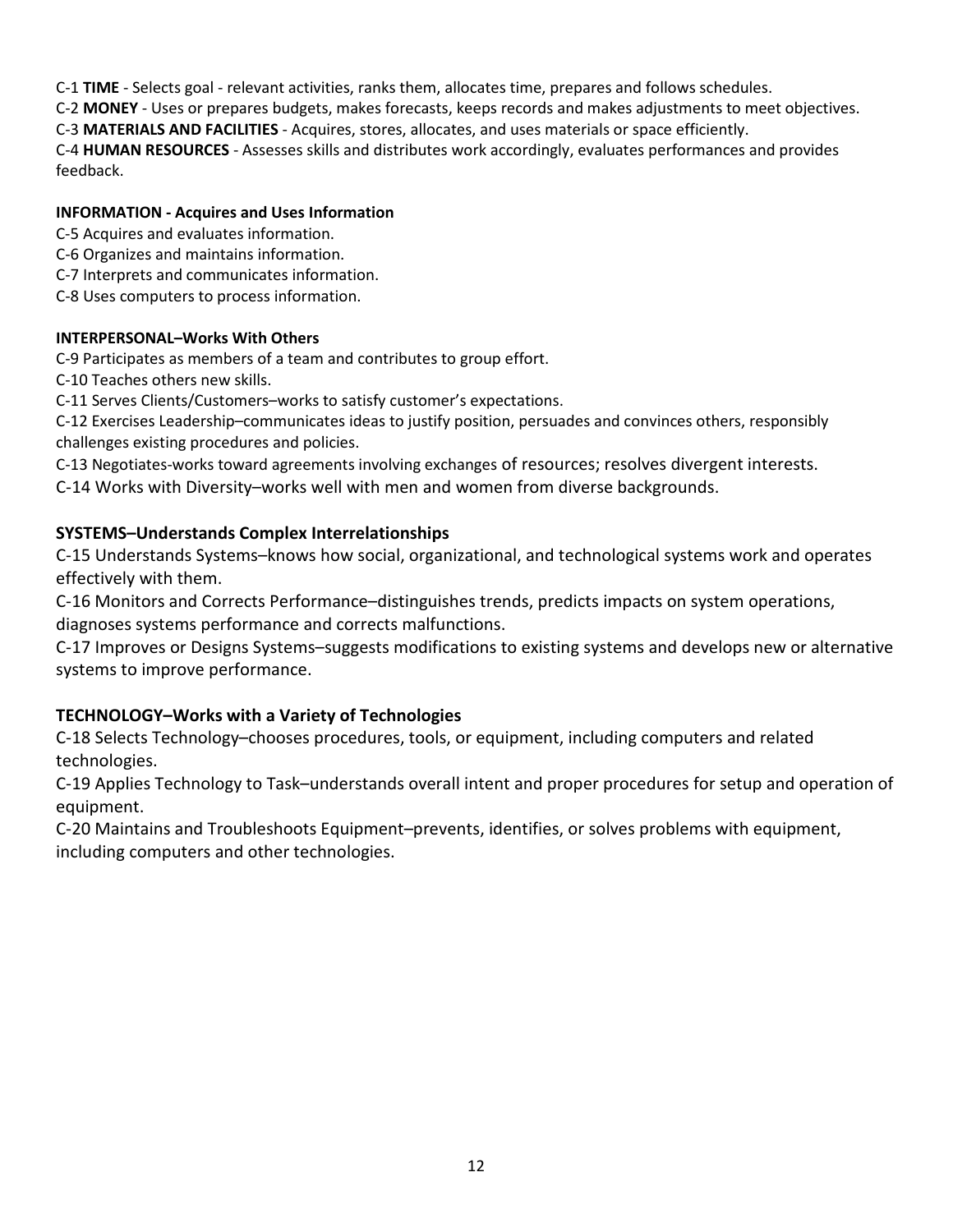C-1 **TIME** - Selects goal - relevant activities, ranks them, allocates time, prepares and follows schedules.

C-2 **MONEY** - Uses or prepares budgets, makes forecasts, keeps records and makes adjustments to meet objectives.

C-3 **MATERIALS AND FACILITIES** - Acquires, stores, allocates, and uses materials or space efficiently.

C-4 **HUMAN RESOURCES** - Assesses skills and distributes work accordingly, evaluates performances and provides feedback.

# **INFORMATION - Acquires and Uses Information**

C-5 Acquires and evaluates information.

- C-6 Organizes and maintains information.
- C-7 Interprets and communicates information.
- C-8 Uses computers to process information.

## **INTERPERSONAL–Works With Others**

C-9 Participates as members of a team and contributes to group effort.

C-10 Teaches others new skills.

C-11 Serves Clients/Customers–works to satisfy customer's expectations.

C-12 Exercises Leadership–communicates ideas to justify position, persuades and convinces others, responsibly challenges existing procedures and policies.

C-13 Negotiates-works toward agreements involving exchanges of resources; resolves divergent interests.

C-14 Works with Diversity–works well with men and women from diverse backgrounds.

# **SYSTEMS–Understands Complex Interrelationships**

C-15 Understands Systems–knows how social, organizational, and technological systems work and operates effectively with them.

C-16 Monitors and Corrects Performance–distinguishes trends, predicts impacts on system operations, diagnoses systems performance and corrects malfunctions.

C-17 Improves or Designs Systems–suggests modifications to existing systems and develops new or alternative systems to improve performance.

# **TECHNOLOGY–Works with a Variety of Technologies**

C-18 Selects Technology–chooses procedures, tools, or equipment, including computers and related technologies.

C-19 Applies Technology to Task–understands overall intent and proper procedures for setup and operation of equipment.

C-20 Maintains and Troubleshoots Equipment–prevents, identifies, or solves problems with equipment, including computers and other technologies.